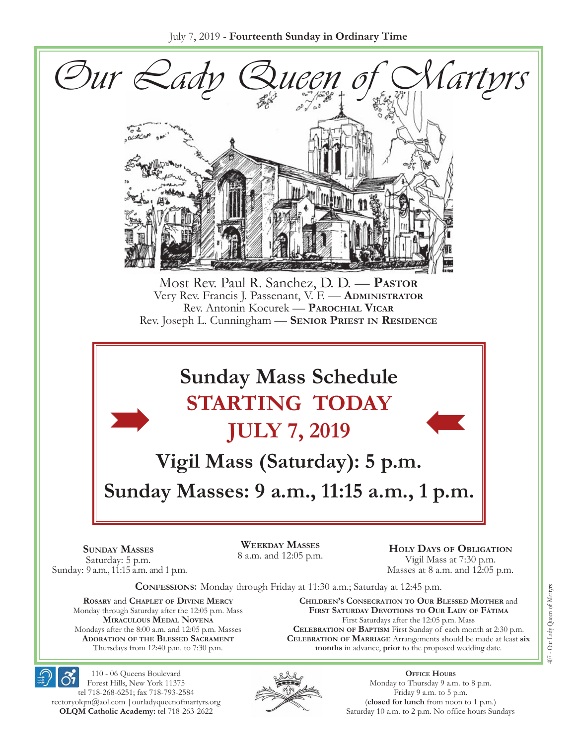

**Miraculous Medal Novena** Mondays after the 8:00 a.m. and 12:05 p.m. Masses **Adoration of the Blessed Sacrament** Thursdays from 12:40 p.m. to 7:30 p.m.

First Saturdays after the 12:05 p.m. Mass **Celebration of Baptism** First Sunday of each month at 2:30 p.m. **Celebration of Marriage** Arrangements should be made at least **six months** in advance, **prior** to the proposed wedding date.



110 - 06 Queens Boulevard Forest Hills, New York 11375 tel 718-268-6251; fax 718-793-2584 [rectoryolqm@aol.com](mailto:rectoryolqm@aol.com) **|**[ourladyqueenofmartyrs.org](www.ourladyqueenofmartyrs.org) **OLQM Catholic Academy:** tel 718-263-2622



**Office Hours** Monday to Thursday 9 a.m. to 8 p.m. Friday 9 a.m. to 5 p.m. (**closed for lunch** from noon to 1 p.m.) Saturday 10 a.m. to 2 p.m. No office hours Sundays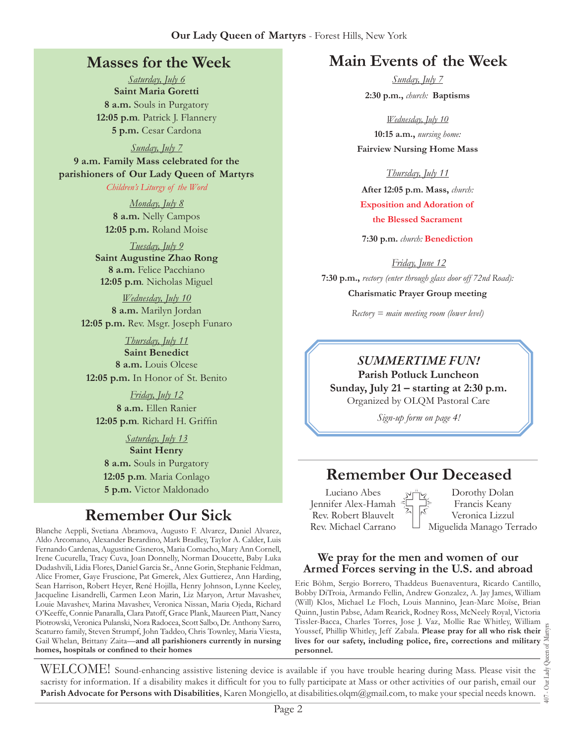#### **Our Lady Queen of Martyrs** - Forest Hills, New York

#### **Masses for the Week**

*Saturday, July 6* **Saint Maria Goretti 8 a.m.** Souls in Purgatory **12:05 p.m***.* Patrick J. Flannery **5 p.m.** Cesar Cardona

*Sunday, July 7* **9 a.m. Family Mass celebrated for the parishioners of Our Lady Queen of Martyrs** *Children's Liturgy of the Word* 

> *Monday, July 8* **8 a.m.** Nelly Campos **12:05 p.m.** Roland Moise

*Tuesday, July 9* **Saint Augustine Zhao Rong 8 a.m.** Felice Pacchiano **12:05 p.m***.* Nicholas Miguel

*Wednesday, July 10* **8 a.m.** Marilyn Jordan **12:05 p.m.** Rev. Msgr. Joseph Funaro

*Thursday, July 11* **Saint Benedict 8 a.m.** Louis Olcese **12:05 p.m.** In Honor of St. Benito

*Friday, July 12* **8 a.m.** Ellen Ranier **12:05 p.m***.* Richard H. Griffin

*Saturday, July 13* **Saint Henry 8 a.m.** Souls in Purgatory **12:05 p.m***.* Maria Conlago **5 p.m.** Victor Maldonado

# **Remember Our Sick**

Blanche Aeppli, Svetiana Abramova, Augusto F. Alvarez, Daniel Alvarez, Aldo Arcomano, Alexander Berardino, Mark Bradley, Taylor A. Calder, Luis Fernando Cardenas, Augustine Cisneros, Maria Comacho, Mary Ann Cornell, Irene Cucurella, Tracy Cuva, Joan Donnelly, Norman Doucette, Baby Luka Dudashvili, Lidia Flores, Daniel Garcia Sr., Anne Gorin, Stephanie Feldman, Alice Fromer, Gaye Fruscione, Pat Gmerek, Alex Guttierez, Ann Harding, Sean Harrison, Robert Heyer, René Hojilla, Henry Johnson, Lynne Keeley, Jacqueline Lisandrelli, Carmen Leon Marin, Liz Maryon, Artur Mavashev, Louie Mavashev, Marina Mavashev, Veronica Nissan, Maria Ojeda, Richard O'Keeffe, Connie Panaralla, Clara Patoff, Grace Plank, Maureen Piatt, Nancy Piotrowski, Veronica Pulanski, Nora Radocea, Scott Salbo, Dr. Anthony Sarro, Scaturro family, Steven Strumpf, John Taddeo, Chris Townley, Maria Viesta, Gail Whelan, Brittany Zaita—**and all parishioners currently in nursing homes, hospitals or confined to their homes**

# **Main Events of the Week**

*Sunday, July 7* **2:30 p.m.,** *church:* **Baptisms**

*Wednesday, July 10* **10:15 a.m.,** *nursing home:*  **Fairview Nursing Home Mass**

*Thursday, July 11*

**After 12:05 p.m. Mass,** *church:*  **Exposition and Adoration of the Blessed Sacrament**

**7:30 p.m.** *church:* **Benediction**

*Friday, June 12* **7:30 p.m.,** *rectory (enter through glass door off 72nd Road):* **Charismatic Prayer Group meeting**

*Rectory = main meeting room (lower level)*

#### *Summertime Fun!*

**Parish Potluck Luncheon Sunday, July 21 – starting at 2:30 p.m.**  Organized by OLQM Pastoral Care

*Sign-up form on page 4!*

# **Remember Our Deceased**

Luciano Abes Jennifer Alex-Hamah Rev. Robert Blauvelt Rev. Michael Carrano

Dorothy Dolan Francis Keany Veronica Lizzul Miguelida Manago Terrado

#### **We pray for the men and women of our Armed Forces serving in the U.S. and abroad**

Eric Böhm, Sergio Borrero, Thaddeus Buenaventura, Ricardo Cantillo, Bobby DiTroia, Armando Fellin, Andrew Gonzalez, A. Jay James, William (Will) Klos, Michael Le Floch, Louis Mannino, Jean-Marc Moïse, Brian Quinn, Justin Pabse, Adam Rearick, Rodney Ross, McNeely Royal, Victoria Tissler-Bacca, Charles Torres, Jose J. Vaz, Mollie Rae Whitley, William Youssef, Phillip Whitley, Jeff Zabala. **Please pray for all who risk their lives for our safety, including police, fire, corrections and military personnel.**

407 - Our Lady Queen of Martyrs Our Lady  $\overline{407}$  .

WELCOME! Sound-enhancing assistive listening device is available if you have trouble hearing during Mass. Please visit the sacristy for information. If a disability makes it difficult for you to fully participate at Mass or other activities of our parish, email our **Parish Advocate for Persons with Disabilities**, Karen Mongiello, at [disabilities.olqm@gmail.com,](mailto:disabilities.olqm@gmail.com) to make your special needs known.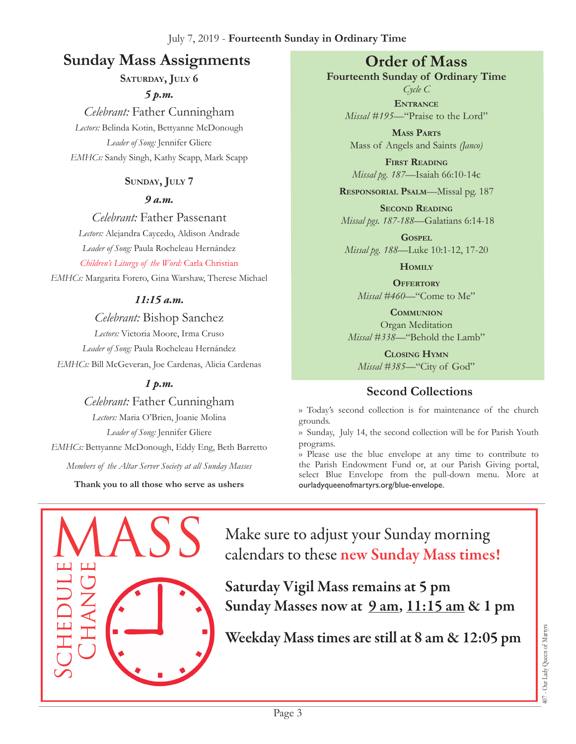# **Sunday Mass Assignments Order of Mass**

SATURDAY, JULY 6

*5 p.m.* 

*Celebrant:* Father Cunningham *Lectors:* Belinda Kotin, Bettyanne McDonough *Leader of Song:* Jennifer Gliere *EMHCs:* Sandy Singh, Kathy Scapp, Mark Scapp

#### **Sunday, July 7**

*9 a.m.* 

*Celebrant:* Father Passenant *Lectors:* Alejandra Caycedo, Aldison Andrade *Leader of Song:* Paula Rocheleau Hernández

*Children's Liturgy of the Word:* Carla Christian

*EMHCs:* Margarita Forero, Gina Warshaw, Therese Michael

#### *11:15 a.m.*

*Celebrant:* Bishop Sanchez *Lectors:* Victoria Moore, Irma Cruso *Leader of Song:* Paula Rocheleau Hernández *EMHCs:* Bill McGeveran, Joe Cardenas, Alicia Cardenas

#### *1 p.m.*

*Celebrant:* Father Cunningham *Lectors:* Maria O'Brien, Joanie Molina *Leader of Song:* Jennifer Gliere *EMHCs:* Bettyanne McDonough, Eddy Eng, Beth Barretto *Members of the Altar Server Society at all Sunday Masses*

**Thank you to all those who serve as ushers**

**Fourteenth Sunday of Ordinary Time**

*Cycle C* **Entrance** *Missal #195—*"Praise to the Lord"

**Mass Parts** Mass of Angels and Saints *(Janco)*

**First Reading** *Missal pg. 187—*Isaiah 66:10-14c

**Responsorial Psalm**—Missal pg. 187

**Second Reading** *Missal pgs. 187-188—*Galatians 6:14-18

**Gospel** *Missal pg. 188—*Luke 10:1-12, 17-20

**Homily**

**Offertory** *Missal #460—*"Come to Me"

**Communion** Organ Meditation *Missal #338—*"Behold the Lamb"

**Closing Hymn** *Missal #385*—"City of God"

#### **Second Collections**

›› Today's second collection is for maintenance of the church grounds.

›› Sunday, July 14, the second collection will be for Parish Youth programs.

›› Please use the blue envelope at any time to contribute to the Parish Endowment Fund or, at our Parish Giving portal, select Blue Envelope from the pull-down menu. More at ourladyqueenofmartyrs.org/blue-envelope.



Make sure to adjust your Sunday morning calendars to these new Sunday Mass times!

Saturday Vigil Mass remains at 5 pm Sunday Masses now at  $9 \text{ am}, 11:15 \text{ am} \& 1 \text{ pm}$ 

Weekday Mass times are still at 8 am & 12:05 pm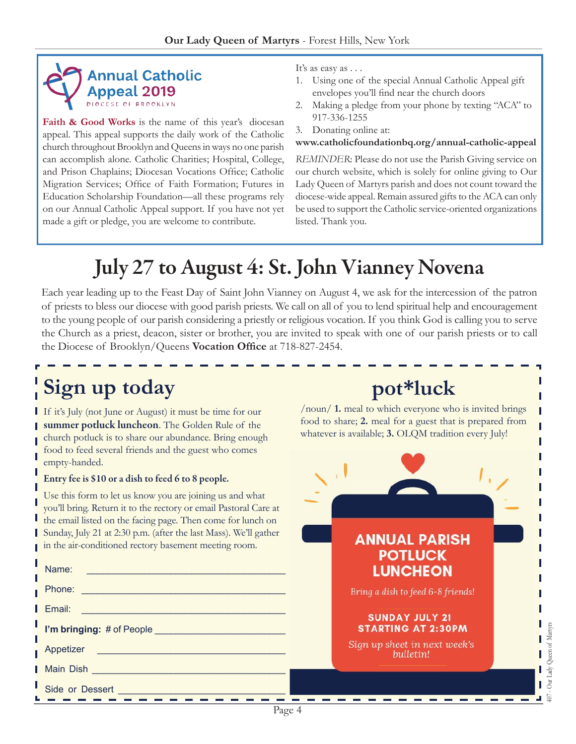

Faith & Good Works is the name of this year's diocesan appeal. This appeal supports the daily work of the Catholic church throughout Brooklyn and Queens in ways no one parish can accomplish alone. Catholic Charities; Hospital, College, and Prison Chaplains; Diocesan Vocations Office; Catholic Migration Services; Office of Faith Formation; Futures in Education Scholarship Foundation—all these programs rely on our Annual Catholic Appeal support. If you have not yet made a gift or pledge, you are welcome to contribute.

It's as easy as . . .

- 1. Using one of the special Annual Catholic Appeal gift envelopes you'll find near the church doors
- 2. Making a pledge from your phone by texting "ACA" to 917-336-1255
- 3. Donating online at:

#### **<www.catholicfoundationbq.org/annual>-catholic-appeal**

*Reminder*: Please do not use the Parish Giving service on our church website, which is solely for online giving to Our Lady Queen of Martyrs parish and does not count toward the diocese-wide appeal. Remain assured gifts to the ACA can only be used to support the Catholic service-oriented organizations listed. Thank you.

**pot\*luck**

/noun/ **1.** meal to which everyone who is invited brings food to share; **2.** meal for a guest that is prepared from whatever is available; 3. OLQM tradition every July!

# July 27 to August 4: St. John Vianney Novena

Each year leading up to the Feast Day of Saint John Vianney on August 4, we ask for the intercession of the patron of priests to bless our diocese with good parish priests. We call on all of you to lend spiritual help and encouragement to the young people of our parish considering a priestly or religious vocation. If you think God is calling you to serve the Church as a priest, deacon, sister or brother, you are invited to speak with one of our parish priests or to call the Diocese of Brooklyn/Queens **Vocation Office** at 718-827-2454.

# **Sign up today**

If it's July (not June or August) it must be time for our summer potluck luncheon. The Golden Rule of the church potluck is to share our abundance. Bring enough food to feed several friends and the guest who comes empty-handed.

#### Entry fee is \$10 or a dish to feed 6 to 8 people.

Use this form to let us know you are joining us and what you'll bring. Return it to the rectory or email Pastoral Care at the email listed on the facing page. Then come for lunch on

| Sunday, July 21 at 2:30 p.m. (after the last Mass). We'll gather<br>in the air-conditioned rectory basement meeting room.<br>Name:<br><u> 1989 - Johann Barbara, martxa alemaniar a</u>                                        | <b>ANNUAL PARISH</b><br><b>POTLUCK</b><br><b>LUNCHEON</b>        |
|--------------------------------------------------------------------------------------------------------------------------------------------------------------------------------------------------------------------------------|------------------------------------------------------------------|
| Phone: New York Changes and Changes and Changes and Changes and Changes and Changes and Changes and Changes and Changes and Changes and Changes and Changes and Changes and Changes and Changes and Changes and Changes and Ch | Bring a dish to feed 6-8 friends!                                |
| Email: 2008. 2009. 2009. 2009. 2009. 2010. 2010. 2012. 2013. 2014. 2015. 2016. 2017. 2017. 2017. 2017. 2017. 20                                                                                                                | <b>SUNDAY JULY 21</b><br>of Martyrs<br><b>STARTING AT 2:30PM</b> |
| Appetizer                                                                                                                                                                                                                      | Sign up sheet in next week's<br>bulletin!                        |
|                                                                                                                                                                                                                                | <sup>r</sup> Queen<br>Ър                                         |
| Side or Dessert and the contract of the contract of the contract of the contract of the contract of the contract of the contract of the contract of the contract of the contract of the contract of the contract of the contra | Our L<br>ি                                                       |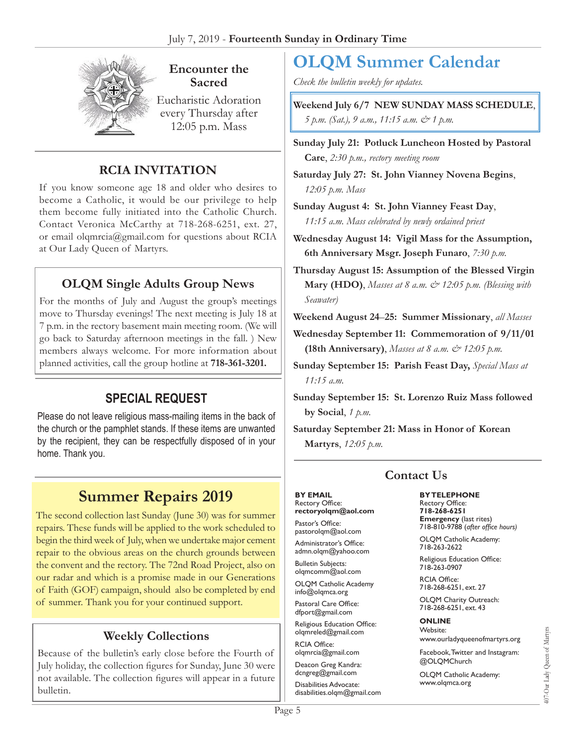

**Encounter the Sacred**

Eucharistic Adoration every Thursday after 12:05 p.m. Mass

#### **RCIA Invitation**

If you know someone age 18 and older who desires to become a Catholic, it would be our privilege to help them become fully initiated into the Catholic Church. Contact Veronica McCarthy at 718-268-6251, ext. 27, or email olqmrcia[@gmail.com](mailto:rectoryolqm@aol.com) for questions about RCIA at Our Lady Queen of Martyrs.

#### **OLQM Single Adults Group News**

For the months of July and August the group's meetings move to Thursday evenings! The next meeting is July 18 at 7 p.m. in the rectory basement main meeting room. (We will go back to Saturday afternoon meetings in the fall. ) New members always welcome. For more information about planned activities, call the group hotline at **718-361-3201.**

# **Special Request**

Please do not leave religious mass-mailing items in the back of the church or the pamphlet stands. If these items are unwanted by the recipient, they can be respectfully disposed of in your home. Thank you.

# **Summer Repairs 2019**

The second collection last Sunday (June 30) was for summer repairs. These funds will be applied to the work scheduled to begin the third week of July, when we undertake major cement repair to the obvious areas on the church grounds between the convent and the rectory. The 72nd Road Project, also on our radar and which is a promise made in our Generations of Faith (GOF) campaign, should also be completed by end of summer. Thank you for your continued support.

#### **Weekly Collections**

Because of the bulletin's early close before the Fourth of July holiday, the collection figures for Sunday, June 30 were not available. The collection figures will appear in a future bulletin.

# **OLQM Summer Calendar**

*Check the bulletin weekly for updates.*

**Weekend July 6/7 NEW SUNDAY Mass Schedule**, *5 p.m. (Sat.), 9 a.m., 11:15 a.m. & 1 p.m.* 

**Sunday July 21: Potluck Luncheon Hosted by Pastoral Care**, *2:30 p.m., rectory meeting room*

**Saturday July 27: St. John Vianney Novena Begins**, *12:05 p.m. Mass*

- **Sunday August 4: St. John Vianney Feast Day**, *11:15 a.m. Mass celebrated by newly ordained priest*
- **Wednesday August 14: Vigil Mass for the Assumption, 6th Anniversary Msgr. Joseph Funaro**, *7:30 p.m.*
- **Thursday August 15: Assumption of the Blessed Virgin Mary (HDO)**, *Masses at 8 a.m. & 12:05 p.m. (Blessing with Seawater)*
- **Weekend August 24**–**25: Summer Missionary**, *all Masses*

**Wednesday September 11: Commemoration of 9/11/01 (18th Anniversary)**, *Masses at 8 a.m. & 12:05 p.m.*

- **Sunday September 15: Parish Feast Day,** *Special Mass at 11:15 a.m.*
- **Sunday September 15: St. Lorenzo Ruiz Mass followed by Social**, *1 p.m.*

**Saturday September 21: Mass in Honor of Korean Martyrs**, *12:05 p.m.*

# **Contact Us**

#### **By Email** Rectory Office:

**rectoryolqm@aol.com** Pastor's Office:

pastorolqm@aol.com Administrator's Office: admn.olqm@yahoo.com

Bulletin Subjects: olqmcomm@aol.com

OLQM Catholic Academy info@olqmca.org

Pastoral Care Office: dfport@gmail.com

Religious Education Office: olqmreled@gmail.com

RCIA Office: [olqmrcia@gmail.com](mailto:olqmrcia@gmail.com)

Deacon Greg Kandra: dcngreg@gmail.com

Disabilities Advocate: [disabilities.olqm@gmail.com](mailto:disabilities.olqm@gmail.com) **By Telephone** Rectory Office: **718-268-6251**

**Emergency** (last rites) 718-810-9788 (*after office hours)*

OLQM Catholic Academy: 718-263-2622

Religious Education Office: 718-263-0907

RCIA Office: 718-268-6251, ext. 27

OLQM Charity Outreach: 718-268-6251, ext. 43

#### **Online** Website:

www.ourladyqueenofmartyrs.org

Facebook, Twitter and Instagram: @OLQMChurch

OLQM Catholic Academy: <www.olqmca.org>